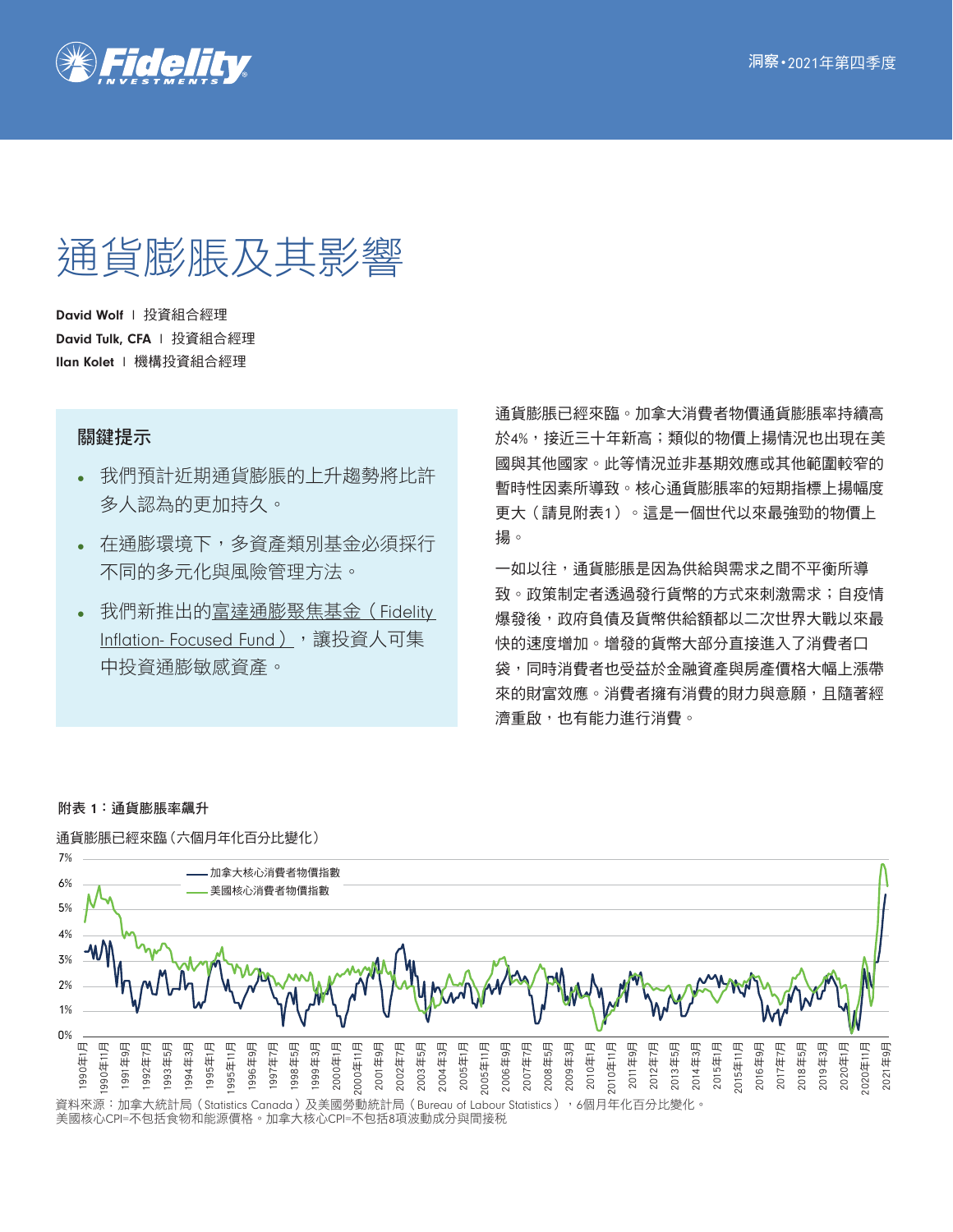

# 通貨膨脹及其影響

David Wolf | 投資組合經理 David Tulk, CFA | 投資組合經理 Ilan Kolet l 機構投資組合經理

## 關鍵提示

- 我們預計近期通貨膨脹的上升趨勢將比許 多人認為的更加持久。
- 在通膨環境下,多資產類別基金必須採行 不同的多元化與風險管理方法。
- 我們新推出的富達通膨聚焦基金 (Fidelity Inflation- Focused Fund), 讓投資人可集 中投資通膨敏感資產。

通貨膨脹已經來臨。加拿大消費者物價通貨膨脹率持續高 於4%,接近三十年新高;類似的物價上揚情況也出現在美 國與其他國家。此等情況並非基期效應或其他範圍較窄的 暫時性因素所導致。核心通貨膨脹率的短期指標上揚幅度 更大(請見附表1)。這是一個世代以來最強勁的物價上 揚。

一如以往,通貨膨脹是因為供給與需求之間不平衡所導 致。政策制定者透過發行貨幣的方式來刺激需求;自疫情 爆發後,政府負債及貨幣供給額都以二次世界大戰以來最 快的速度增加。增發的貨幣大部分直接進入了消費者口 袋,同時消費者也受益於金融資產與房產價格大幅上漲帶 來的財富效應。消費者擁有消費的財力與意願,且隨著經 濟重啟,也有能力進行消費。

## 附表 1:通貨膨脹率飆升



資料來源:加拿大統計局(Statistics Canada)及美國勞動統計局(Bureau of Labour Statistics),6個月年化百分比變化 美國核心CPI=不包括食物和能源價格。加拿大核心CPI=不包括8項波動成分與間接稅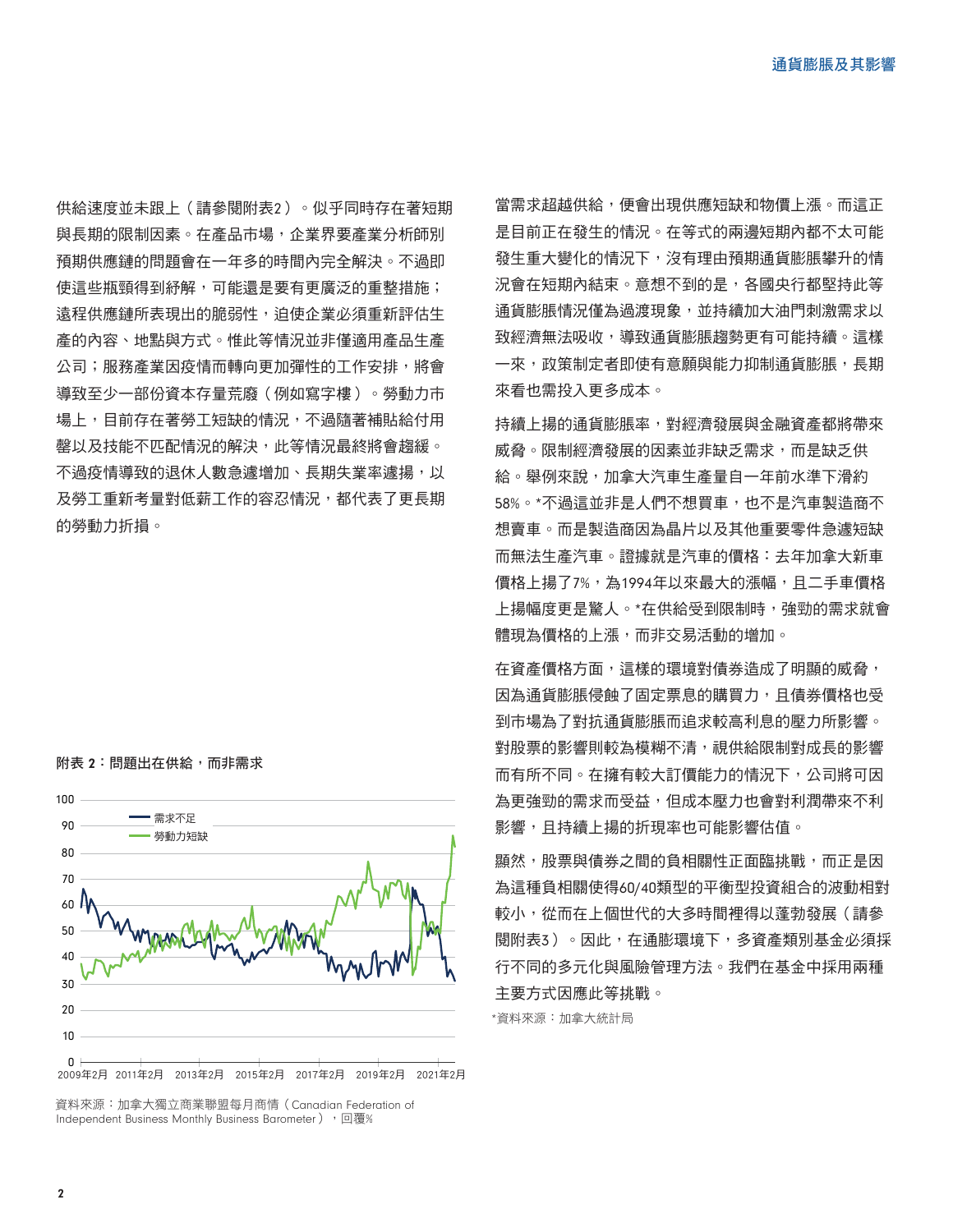供給速度並未跟上(請參閱附表2)。似乎同時存在著短期 與長期的限制因素。在產品市場,企業界要產業分析師別 預期供應鏈的問題會在一年多的時間內完全解決。不過即 使這些瓶頸得到紓解,可能還是要有更廣泛的重整措施; 遠程供應鏈所表現出的脆弱性,迫使企業必須重新評估生 產的內容、地點與方式。惟此等情況並非僅適用產品生產 公司;服務產業因疫情而轉向更加彈性的工作安排,將會 導致至少一部份資本存量荒廢(例如寫字樓)。勞動力市 場上,目前存在著勞工短缺的情況,不過隨著補貼給付用 罄以及技能不匹配情況的解決,此等情況最終將會趨緩。 不過疫情導致的退休人數急遽增加、長期失業率遽揚,以 及勞工重新考量對低薪工作的容忍情況,都代表了更長期 的勞動力折損。

## 附表 2: 問題出在供給, 而非需求



2009年2月 2011年2月 2013年2月 2015年2月 2017年2月 2019年2月 2021年2月

資料來源:加拿大獨立商業聯盟每月商情(Canadian Federation of Independent Business Monthly Business Barometer), 回覆%

當需求超越供給,便會出現供應短缺和物價上漲。而這正 是目前正在發生的情況。在等式的兩邊短期內都不太可能 發生重大變化的情況下,沒有理由預期通貨膨脹攀升的情 況會在短期內結束。意想不到的是,各國央行都堅持此等 通貨膨脹情況僅為過渡現象,並持續加大油門刺激需求以 致經濟無法吸收,導致通貨膨脹趨勢更有可能持續。這樣 一來,政策制定者即使有意願與能力抑制通貨膨脹,長期 來看也需投入更多成本。

持續上揚的通貨膨脹率,對經濟發展與金融資產都將帶來 威脅。限制經濟發展的因素並非缺乏需求,而是缺乏供 給。舉例來說,加拿大汽車生產量自一年前水準下滑約 58%。\*不過這並非是人們不想買車,也不是汽車製造商不 想賣車。而是製造商因為晶片以及其他重要零件急遽短缺 而無法生產汽車。證據就是汽車的價格:去年加拿大新車 價格上揚了7%,為1994年以來最大的漲幅,且二手車價格 上揚幅度更是驚人。\*在供給受到限制時,強勁的需求就會 體現為價格的上漲,而非交易活動的增加。

在資產價格方面,這樣的環境對債券造成了明顯的威脅, 因為通貨膨脹侵蝕了固定票息的購買力,且債券價格也受 到市場為了對抗通貨膨脹而追求較高利息的壓力所影響。 對股票的影響則較為模糊不清,視供給限制對成長的影響 而有所不同。在擁有較大訂價能力的情況下,公司將可因 為更強勁的需求而受益,但成本壓力也會對利潤帶來不利 影響,且持續上揚的折現率也可能影響估值。

顯然,股票與債券之間的負相關性正面臨挑戰,而正是因 為這種負相關使得60/40類型的平衡型投資組合的波動相對 較小,從而在上個世代的大多時間裡得以蓬勃發展(請參 閱附表3)。因此,在通膨環境下,多資產類別基金必須採 行不同的多元化與風險管理方法。我們在基金中採用兩種 主要方式因應此等挑戰。

\*資料來源:加拿大統計局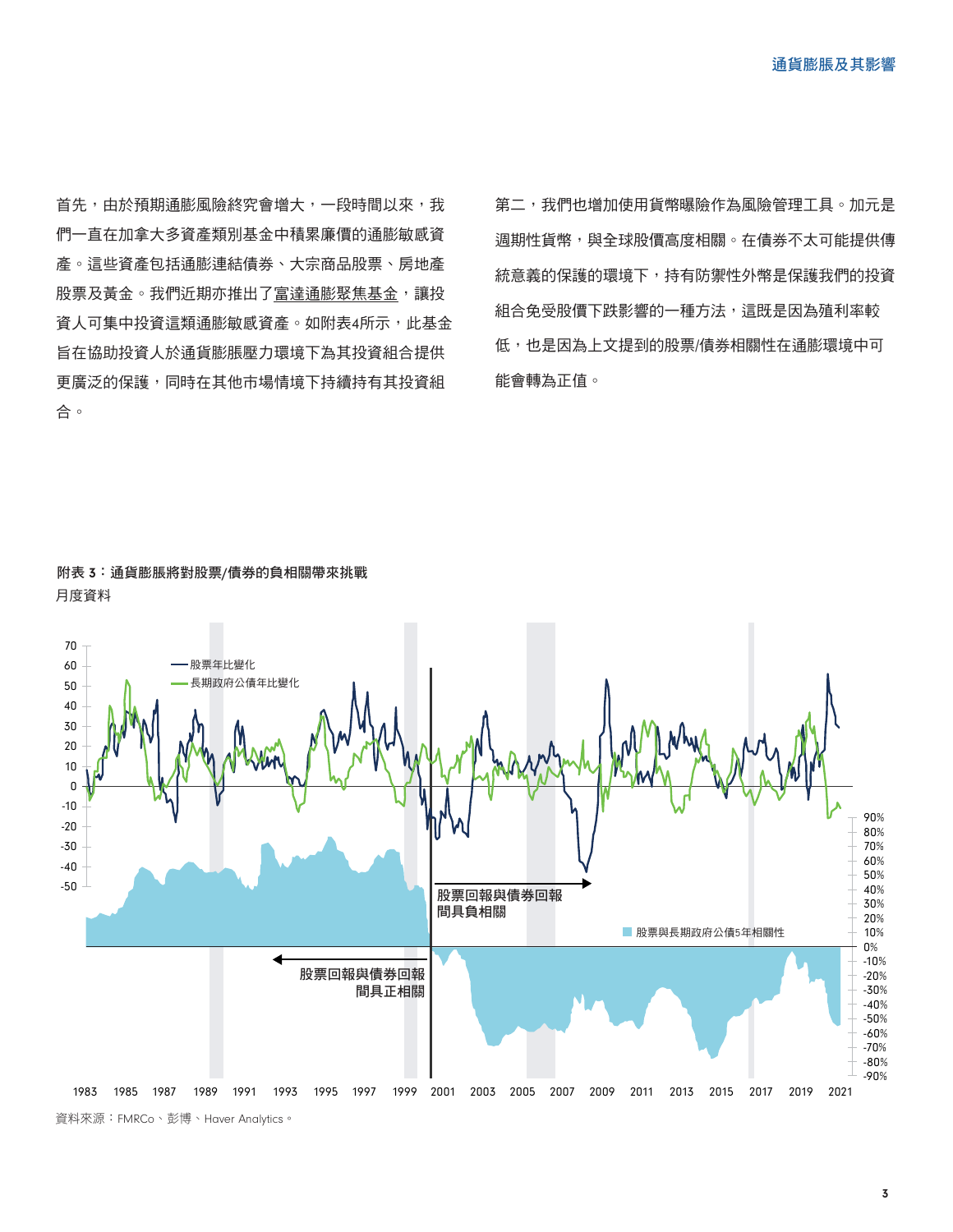首先,由於預期通膨風險終究會增大,一段時間以來,我 們一直在加拿大多資產類別基金中積累廉價的通膨敏感資 產。這些資產包括通膨連結債券、大宗商品股票、房地產 股票及黃金。我們近期亦推出了富達通膨聚焦基金,讓投 資人可集中投資這類通膨敏感資產。如附表4所示,此基金 旨在協助投資人於通貨膨脹壓力環境下為其投資組合提供 更廣泛的保護,同時在其他市場情境下持續持有其投資組 合。

第二,我們也增加使用貨幣曝險作為風險管理工具。加元是 週期性貨幣,與全球股價高度相關。在債券不太可能提供傳 統意義的保護的環境下,持有防禦性外幣是保護我們的投資 組合免受股價下跌影響的一種方法,這既是因為殖利率較 低,也是因為上文提到的股票/債券相關性在通膨環境中可 能會轉為正值。



附表 3:通貨膨脹將對股票/債券的負相關帶來挑戰 月度資料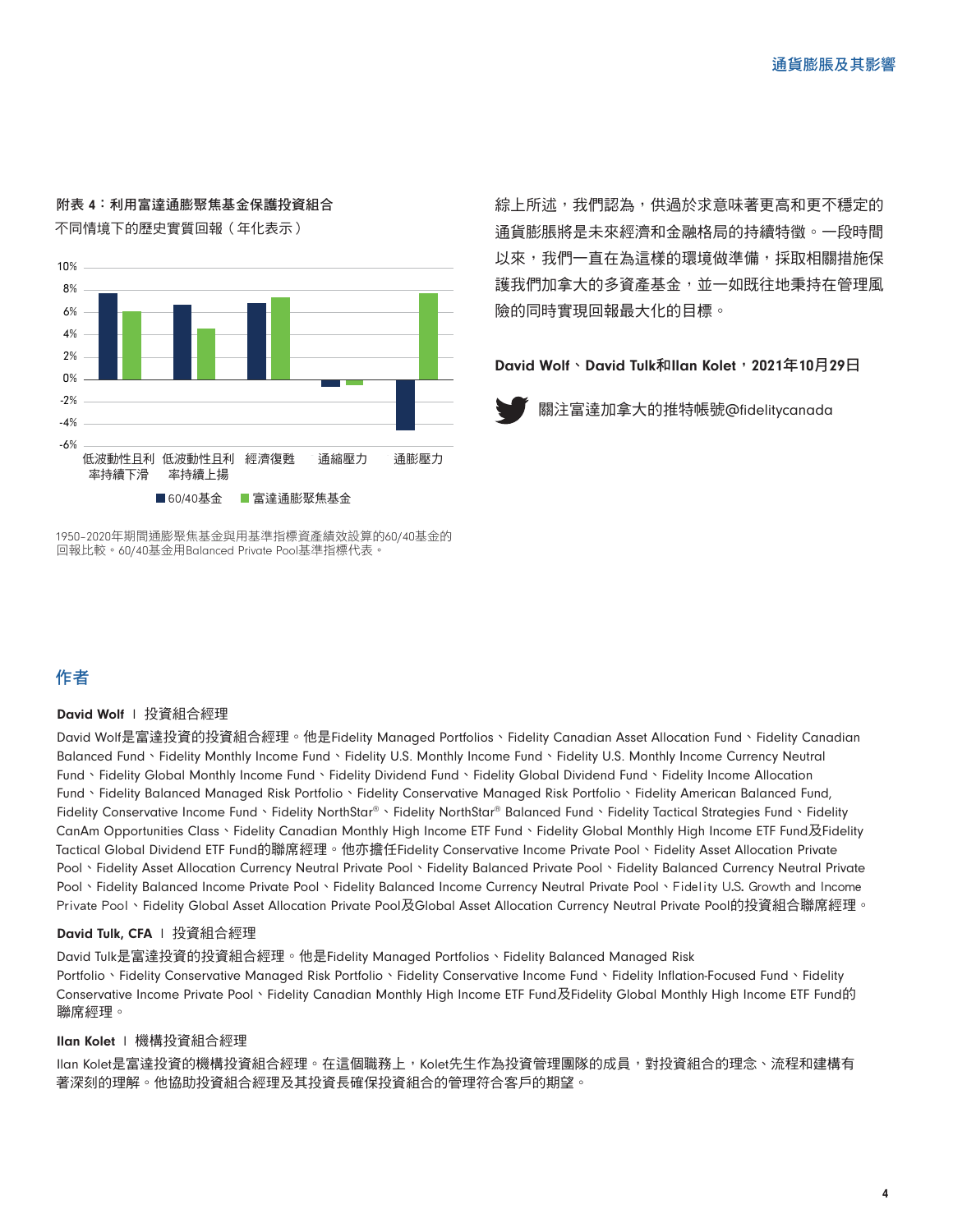## 附表 4:利用富達通膨聚焦基金保護投資組合 不同情境下的歷史實質回報(年化表示)



1950–2020年期間通膨聚焦基金與用基準指標資產績效設算的60/40基金的 回報比較。60/40基金用Balanced Private Pool基準指標代表。

# 作者

#### David Wolf | 投資組合經理

David Wolf是富達投資的投資組合經理。他是Fidelity Managed Portfolios、Fidelity Canadian Asset Allocation Fund、Fidelity Canadian Balanced Fund、Fidelity Monthly Income Fund、Fidelity U.S. Monthly Income Fund、Fidelity U.S. Monthly Income Currency Neutral Fund、Fidelity Global Monthly Income Fund、Fidelity Dividend Fund、Fidelity Global Dividend Fund、Fidelity Income Allocation Fund、Fidelity Balanced Managed Risk Portfolio、Fidelity Conservative Managed Risk Portfolio、Fidelity American Balanced Fund, Fidelity Conservative Income Fund、Fidelity NorthStar®、Fidelity NorthStar® Balanced Fund、Fidelity Tactical Strategies Fund、Fidelity CanAm Opportunities Class、Fidelity Canadian Monthly High Income ETF Fund、Fidelity Global Monthly High Income ETF Fund及Fidelity Tactical Global Dividend ETF Fund的聯席經理。他亦擔任Fidelity Conservative Income Private Pool、Fidelity Asset Allocation Private Pool、Fidelity Asset Allocation Currency Neutral Private Pool、Fidelity Balanced Private Pool、Fidelity Balanced Currency Neutral Private Pool、Fidelity Balanced Income Private Pool、Fidelity Balanced Income Currency Neutral Private Pool、Fidelity U.S. Growth and Income Private Pool、Fidelity Global Asset Allocation Private Pool及Global Asset Allocation Currency Neutral Private Pool的投資組合聯席經理。

### David Tulk, CFA | 投資組合經理

David Tulk是富達投資的投資組合經理。他是Fidelity Managed Portfolios、Fidelity Balanced Managed Risk Portfolio、Fidelity Conservative Managed Risk Portfolio、Fidelity Conservative Income Fund、Fidelity Inflation-Focused Fund、Fidelity Conservative Income Private Pool、Fidelity Canadian Monthly High Income ETF Fund及Fidelity Global Monthly High Income ETF Fund的 聯席經理。

#### Ilan Kolet l 機構投資組合經理

Ilan Kolet是富達投資的機構投資組合經理。在這個職務上,Kolet先生作為投資管理團隊的成員,對投資組合的理念、流程和建構有 著深刻的理解。他協助投資組合經理及其投資長確保投資組合的管理符合客戶的期望。

綜上所述,我們認為,供過於求意味著更高和更不穩定的 通貨膨脹將是未來經濟和金融格局的持續特徵。一段時間 以來,我們一直在為這樣的環境做準備,採取相關措施保 護我們加拿大的多資產基金,並一如既往地秉持在管理風 險的同時實現回報最大化的目標。

David Wolf、David Tulk和Ilan Kolet, 2021年10月29日



關注富達加拿大的推特帳號@fidelitycanada